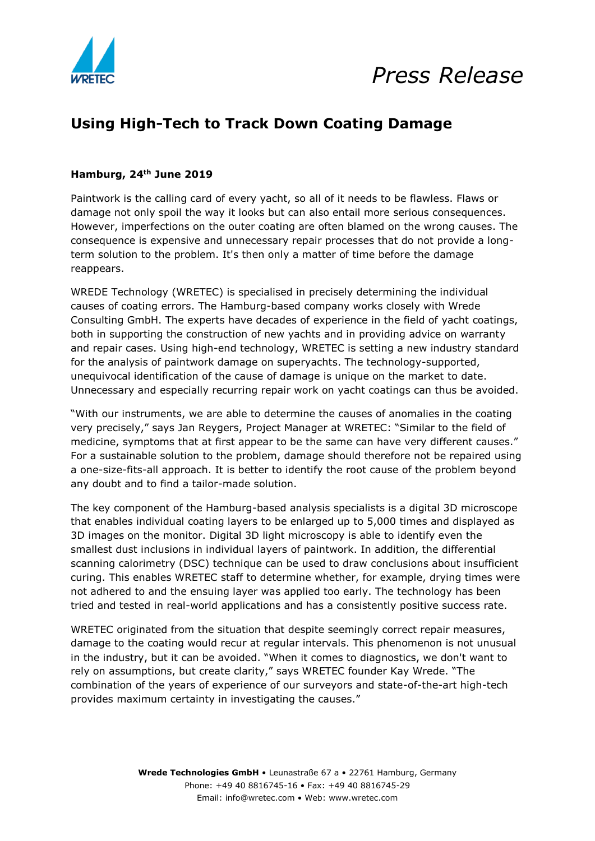



## **Using High-Tech to Track Down Coating Damage**

#### **Hamburg, 24th June 2019**

Paintwork is the calling card of every yacht, so all of it needs to be flawless. Flaws or damage not only spoil the way it looks but can also entail more serious consequences. However, imperfections on the outer coating are often blamed on the wrong causes. The consequence is expensive and unnecessary repair processes that do not provide a longterm solution to the problem. It's then only a matter of time before the damage reappears.

WREDE Technology (WRETEC) is specialised in precisely determining the individual causes of coating errors. The Hamburg-based company works closely with Wrede Consulting GmbH. The experts have decades of experience in the field of yacht coatings, both in supporting the construction of new yachts and in providing advice on warranty and repair cases. Using high-end technology, WRETEC is setting a new industry standard for the analysis of paintwork damage on superyachts. The technology-supported, unequivocal identification of the cause of damage is unique on the market to date. Unnecessary and especially recurring repair work on yacht coatings can thus be avoided.

"With our instruments, we are able to determine the causes of anomalies in the coating very precisely," says Jan Reygers, Project Manager at WRETEC: "Similar to the field of medicine, symptoms that at first appear to be the same can have very different causes." For a sustainable solution to the problem, damage should therefore not be repaired using a one-size-fits-all approach. It is better to identify the root cause of the problem beyond any doubt and to find a tailor-made solution.

The key component of the Hamburg-based analysis specialists is a digital 3D microscope that enables individual coating layers to be enlarged up to 5,000 times and displayed as 3D images on the monitor. Digital 3D light microscopy is able to identify even the smallest dust inclusions in individual layers of paintwork. In addition, the differential scanning calorimetry (DSC) technique can be used to draw conclusions about insufficient curing. This enables WRETEC staff to determine whether, for example, drying times were not adhered to and the ensuing layer was applied too early. The technology has been tried and tested in real-world applications and has a consistently positive success rate.

WRETEC originated from the situation that despite seemingly correct repair measures, damage to the coating would recur at regular intervals. This phenomenon is not unusual in the industry, but it can be avoided. "When it comes to diagnostics, we don't want to rely on assumptions, but create clarity," says WRETEC founder Kay Wrede. "The combination of the years of experience of our surveyors and state-of-the-art high-tech provides maximum certainty in investigating the causes."